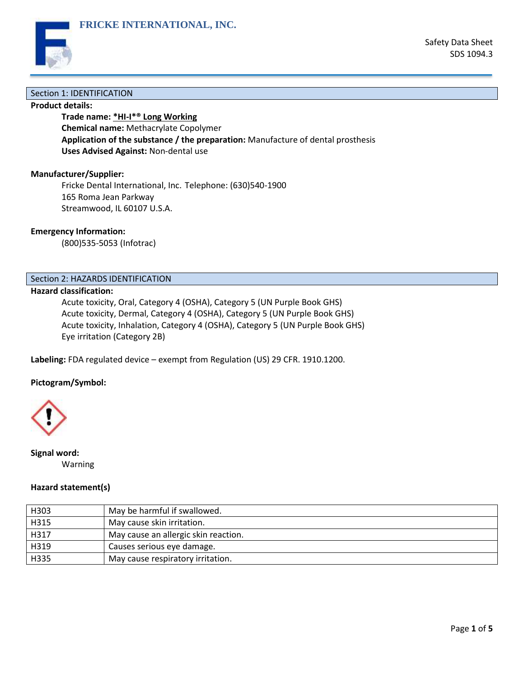

## Section 1: IDENTIFICATION

## **Product details:**

**Trade name: \*HI-I\*® Long Working Chemical name:** Methacrylate Copolymer **Application of the substance / the preparation:** Manufacture of dental prosthesis **Uses Advised Against:** Non-dental use

# **Manufacturer/Supplier:**

Fricke Dental International, Inc. Telephone: (630)540-1900 165 Roma Jean Parkway Streamwood, IL 60107 U.S.A.

**FRICKE INTERNATIONAL, INC.**

### **Emergency Information:**

(800)535-5053 (Infotrac)

# Section 2: HAZARDS IDENTIFICATION

# **Hazard classification:**

Acute toxicity, Oral, Category 4 (OSHA), Category 5 (UN Purple Book GHS) Acute toxicity, Dermal, Category 4 (OSHA), Category 5 (UN Purple Book GHS) Acute toxicity, Inhalation, Category 4 (OSHA), Category 5 (UN Purple Book GHS) Eye irritation (Category 2B)

**Labeling:** FDA regulated device – exempt from Regulation (US) 29 CFR. 1910.1200.

#### **Pictogram/Symbol:**



**Signal word:** Warning

### **Hazard statement(s)**

| H303 | May be harmful if swallowed.         |
|------|--------------------------------------|
| H315 | May cause skin irritation.           |
| H317 | May cause an allergic skin reaction. |
| H319 | Causes serious eye damage.           |
| H335 | May cause respiratory irritation.    |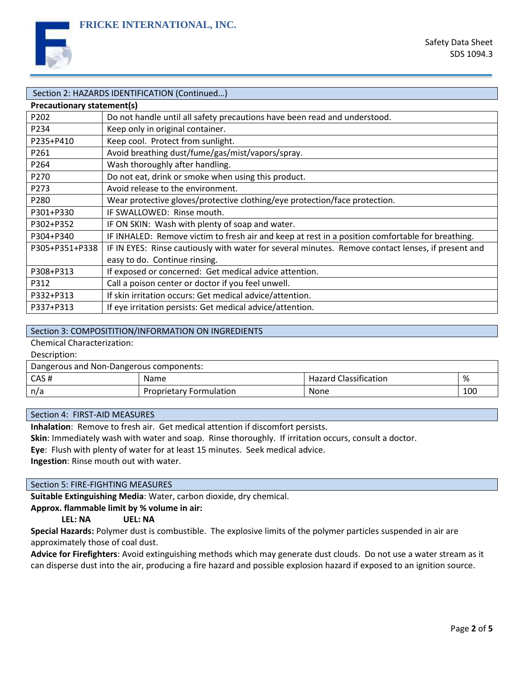

| Section 2: HAZARDS IDENTIFICATION (Continued) |                                                                                                    |  |  |
|-----------------------------------------------|----------------------------------------------------------------------------------------------------|--|--|
| <b>Precautionary statement(s)</b>             |                                                                                                    |  |  |
| P202                                          | Do not handle until all safety precautions have been read and understood.                          |  |  |
| P234                                          | Keep only in original container.                                                                   |  |  |
| P235+P410                                     | Keep cool. Protect from sunlight.                                                                  |  |  |
| P261                                          | Avoid breathing dust/fume/gas/mist/vapors/spray.                                                   |  |  |
| P264                                          | Wash thoroughly after handling.                                                                    |  |  |
| P270                                          | Do not eat, drink or smoke when using this product.                                                |  |  |
| P273                                          | Avoid release to the environment.                                                                  |  |  |
| P280                                          | Wear protective gloves/protective clothing/eye protection/face protection.                         |  |  |
| P301+P330                                     | IF SWALLOWED: Rinse mouth.                                                                         |  |  |
| P302+P352                                     | IF ON SKIN: Wash with plenty of soap and water.                                                    |  |  |
| P304+P340                                     | IF INHALED: Remove victim to fresh air and keep at rest in a position comfortable for breathing.   |  |  |
| P305+P351+P338                                | IF IN EYES: Rinse cautiously with water for several minutes. Remove contact lenses, if present and |  |  |
|                                               | easy to do. Continue rinsing.                                                                      |  |  |
| P308+P313                                     | If exposed or concerned: Get medical advice attention.                                             |  |  |
| P312                                          | Call a poison center or doctor if you feel unwell.                                                 |  |  |
| P332+P313                                     | If skin irritation occurs: Get medical advice/attention.                                           |  |  |
| P337+P313                                     | If eye irritation persists: Get medical advice/attention.                                          |  |  |

# Section 3: COMPOSITITION/INFORMATION ON INGREDIENTS

Chemical Characterization:

Description:

| Dangerous and Non-Dangerous components: |                                |                              |     |  |  |  |
|-----------------------------------------|--------------------------------|------------------------------|-----|--|--|--|
| CAS#                                    | <b>Name</b>                    | <b>Hazard Classification</b> | %   |  |  |  |
| n/a                                     | <b>Proprietary Formulation</b> | <b>None</b>                  | 100 |  |  |  |

#### Section 4: FIRST-AID MEASURES

**Inhalation**: Remove to fresh air. Get medical attention if discomfort persists.

**Skin**: Immediately wash with water and soap. Rinse thoroughly. If irritation occurs, consult a doctor.

**Eye**: Flush with plenty of water for at least 15 minutes. Seek medical advice.

**Ingestion**: Rinse mouth out with water.

### Section 5: FIRE-FIGHTING MEASURES

**Suitable Extinguishing Media**: Water, carbon dioxide, dry chemical.

**Approx. flammable limit by % volume in air:**

#### **LEL: NA UEL: NA**

**Special Hazards:** Polymer dust is combustible. The explosive limits of the polymer particles suspended in air are approximately those of coal dust.

**Advice for Firefighters**: Avoid extinguishing methods which may generate dust clouds. Do not use a water stream as it can disperse dust into the air, producing a fire hazard and possible explosion hazard if exposed to an ignition source.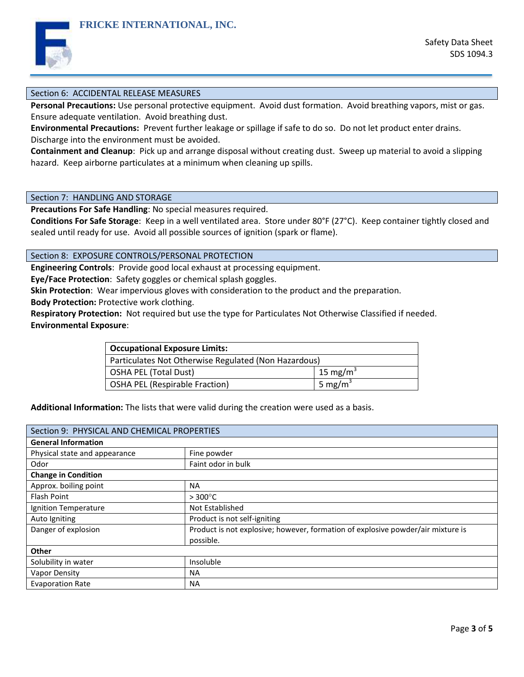

## Section 6: ACCIDENTAL RELEASE MEASURES

**Personal Precautions:** Use personal protective equipment. Avoid dust formation. Avoid breathing vapors, mist or gas. Ensure adequate ventilation. Avoid breathing dust.

**Environmental Precautions:** Prevent further leakage or spillage if safe to do so. Do not let product enter drains. Discharge into the environment must be avoided.

**Containment and Cleanup**: Pick up and arrange disposal without creating dust. Sweep up material to avoid a slipping hazard. Keep airborne particulates at a minimum when cleaning up spills.

Section 7: HANDLING AND STORAGE

**Precautions For Safe Handling**: No special measures required.

**FRICKE INTERNATIONAL, INC.**

**Conditions For Safe Storage**: Keep in a well ventilated area. Store under 80°F (27°C). Keep container tightly closed and sealed until ready for use. Avoid all possible sources of ignition (spark or flame).

Section 8: EXPOSURE CONTROLS/PERSONAL PROTECTION

**Engineering Controls**: Provide good local exhaust at processing equipment.

**Eye/Face Protection**: Safety goggles or chemical splash goggles.

**Skin Protection**: Wear impervious gloves with consideration to the product and the preparation.

**Body Protection:** Protective work clothing.

**Respiratory Protection:** Not required but use the type for Particulates Not Otherwise Classified if needed. **Environmental Exposure**:

| <b>Occupational Exposure Limits:</b>                 |                     |  |
|------------------------------------------------------|---------------------|--|
| Particulates Not Otherwise Regulated (Non Hazardous) |                     |  |
| <b>OSHA PEL (Total Dust)</b>                         | 15 mg/m $^3$        |  |
| <b>OSHA PEL (Respirable Fraction)</b>                | 5 mg/m <sup>3</sup> |  |

**Additional Information:** The lists that were valid during the creation were used as a basis.

| Section 9: PHYSICAL AND CHEMICAL PROPERTIES |                                                                                 |  |  |  |
|---------------------------------------------|---------------------------------------------------------------------------------|--|--|--|
| <b>General Information</b>                  |                                                                                 |  |  |  |
| Physical state and appearance               | Fine powder                                                                     |  |  |  |
| Odor                                        | Faint odor in bulk                                                              |  |  |  |
| <b>Change in Condition</b>                  |                                                                                 |  |  |  |
| Approx. boiling point                       | <b>NA</b>                                                                       |  |  |  |
| Flash Point                                 | $>300^{\circ}$ C                                                                |  |  |  |
| Ignition Temperature                        | Not Established                                                                 |  |  |  |
| Auto Igniting                               | Product is not self-igniting                                                    |  |  |  |
| Danger of explosion                         | Product is not explosive; however, formation of explosive powder/air mixture is |  |  |  |
|                                             | possible.                                                                       |  |  |  |
| <b>Other</b>                                |                                                                                 |  |  |  |
| Solubility in water                         | Insoluble                                                                       |  |  |  |
| Vapor Density                               | <b>NA</b>                                                                       |  |  |  |
| <b>Evaporation Rate</b>                     | <b>NA</b>                                                                       |  |  |  |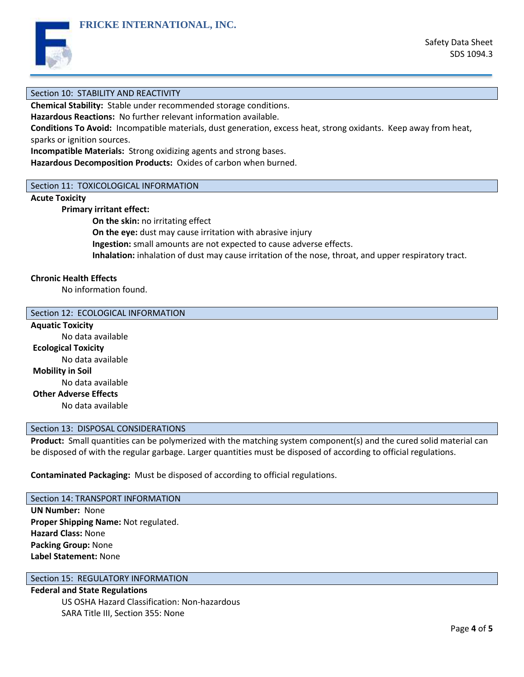

### Section 10: STABILITY AND REACTIVITY

**Chemical Stability:** Stable under recommended storage conditions.

**Hazardous Reactions:** No further relevant information available.

**FRICKE INTERNATIONAL, INC.**

**Conditions To Avoid:** Incompatible materials, dust generation, excess heat, strong oxidants. Keep away from heat, sparks or ignition sources.

**Incompatible Materials:** Strong oxidizing agents and strong bases.

**Hazardous Decomposition Products:** Oxides of carbon when burned.

#### Section 11: TOXICOLOGICAL INFORMATION

# **Acute Toxicity**

**Primary irritant effect:**

**On the skin:** no irritating effect

**On the eye:** dust may cause irritation with abrasive injury

**Ingestion:** small amounts are not expected to cause adverse effects.

**Inhalation:** inhalation of dust may cause irritation of the nose, throat, and upper respiratory tract.

# **Chronic Health Effects**

No information found.

#### Section 12: ECOLOGICAL INFORMATION

**Aquatic Toxicity** No data available **Ecological Toxicity** No data available **Mobility in Soil** No data available **Other Adverse Effects** No data available

#### Section 13: DISPOSAL CONSIDERATIONS

**Product:** Small quantities can be polymerized with the matching system component(s) and the cured solid material can be disposed of with the regular garbage. Larger quantities must be disposed of according to official regulations.

**Contaminated Packaging:** Must be disposed of according to official regulations.

# Section 14: TRANSPORT INFORMATION

**UN Number:** None **Proper Shipping Name:** Not regulated. **Hazard Class:** None **Packing Group:** None **Label Statement:** None

# Section 15: REGULATORY INFORMATION

**Federal and State Regulations** US OSHA Hazard Classification: Non-hazardous SARA Title III, Section 355: None